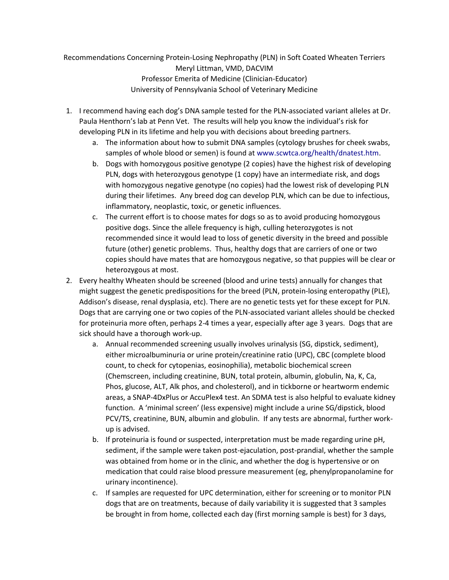Recommendations Concerning Protein-Losing Nephropathy (PLN) in Soft Coated Wheaten Terriers Meryl Littman, VMD, DACVIM Professor Emerita of Medicine (Clinician-Educator) University of Pennsylvania School of Veterinary Medicine

- 1. I recommend having each dog's DNA sample tested for the PLN-associated variant alleles at Dr. Paula Henthorn's lab at Penn Vet. The results will help you know the individual's risk for developing PLN in its lifetime and help you with decisions about breeding partners.
	- a. The information about how to submit DNA samples (cytology brushes for cheek swabs, samples of whole blood or semen) is found at [www.scwtca.org/health/dnatest.htm.](http://www.scwtca.org/health/dnatest.htm)
	- b. Dogs with homozygous positive genotype (2 copies) have the highest risk of developing PLN, dogs with heterozygous genotype (1 copy) have an intermediate risk, and dogs with homozygous negative genotype (no copies) had the lowest risk of developing PLN during their lifetimes. Any breed dog can develop PLN, which can be due to infectious, inflammatory, neoplastic, toxic, or genetic influences.
	- c. The current effort is to choose mates for dogs so as to avoid producing homozygous positive dogs. Since the allele frequency is high, culling heterozygotes is not recommended since it would lead to loss of genetic diversity in the breed and possible future (other) genetic problems. Thus, healthy dogs that are carriers of one or two copies should have mates that are homozygous negative, so that puppies will be clear or heterozygous at most.
- 2. Every healthy Wheaten should be screened (blood and urine tests) annually for changes that might suggest the genetic predispositions for the breed (PLN, protein-losing enteropathy (PLE), Addison's disease, renal dysplasia, etc). There are no genetic tests yet for these except for PLN. Dogs that are carrying one or two copies of the PLN-associated variant alleles should be checked for proteinuria more often, perhaps 2-4 times a year, especially after age 3 years. Dogs that are sick should have a thorough work-up.
	- a. Annual recommended screening usually involves urinalysis (SG, dipstick, sediment), either microalbuminuria or urine protein/creatinine ratio (UPC), CBC (complete blood count, to check for cytopenias, eosinophilia), metabolic biochemical screen (Chemscreen, including creatinine, BUN, total protein, albumin, globulin, Na, K, Ca, Phos, glucose, ALT, Alk phos, and cholesterol), and in tickborne or heartworm endemic areas, a SNAP-4DxPlus or AccuPlex4 test. An SDMA test is also helpful to evaluate kidney function. A 'minimal screen' (less expensive) might include a urine SG/dipstick, blood PCV/TS, creatinine, BUN, albumin and globulin. If any tests are abnormal, further workup is advised.
	- b. If proteinuria is found or suspected, interpretation must be made regarding urine pH, sediment, if the sample were taken post-ejaculation, post-prandial, whether the sample was obtained from home or in the clinic, and whether the dog is hypertensive or on medication that could raise blood pressure measurement (eg, phenylpropanolamine for urinary incontinence).
	- c. If samples are requested for UPC determination, either for screening or to monitor PLN dogs that are on treatments, because of daily variability it is suggested that 3 samples be brought in from home, collected each day (first morning sample is best) for 3 days,